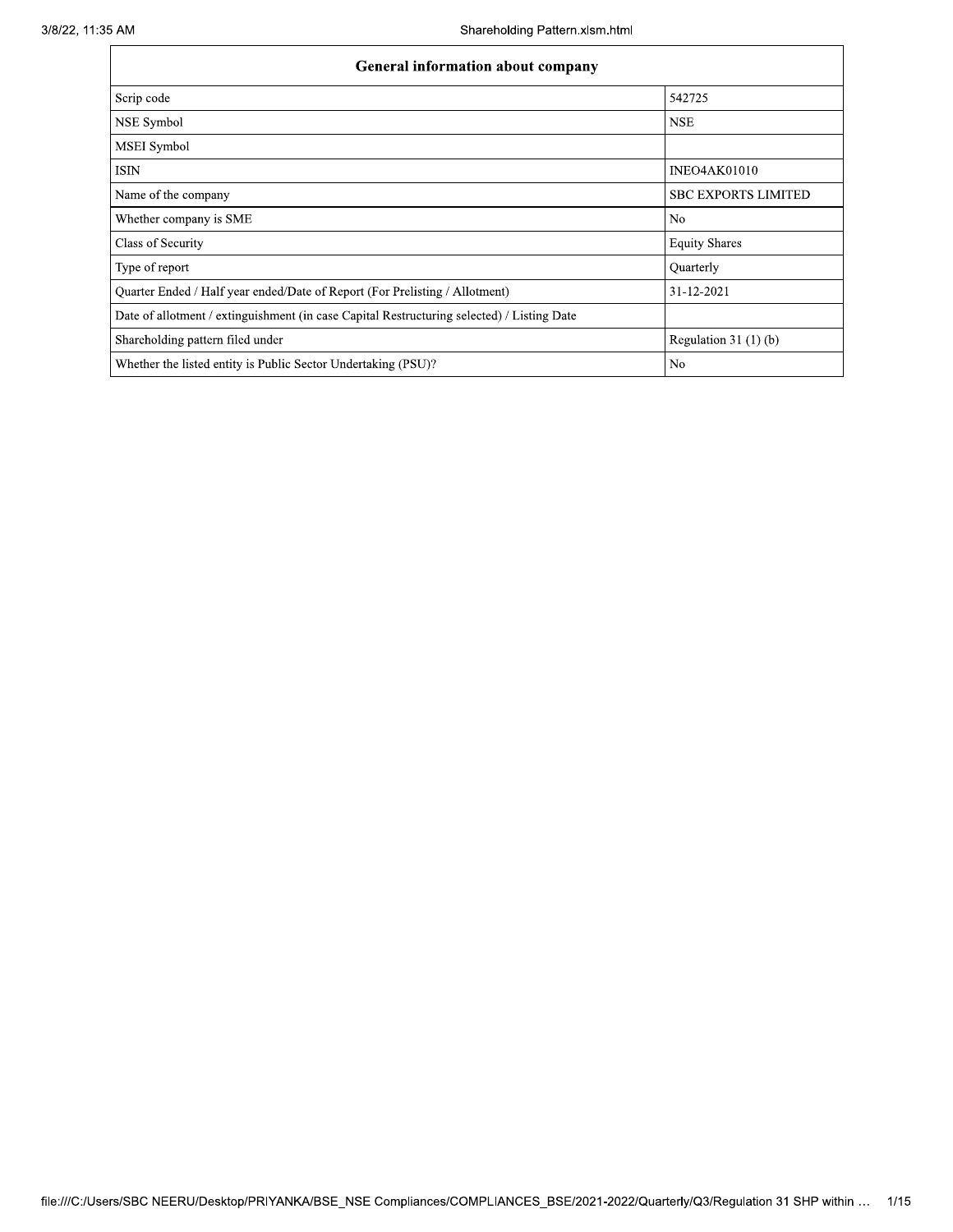| <b>General information about company</b>                                                   |                            |  |  |  |  |
|--------------------------------------------------------------------------------------------|----------------------------|--|--|--|--|
| Scrip code                                                                                 | 542725                     |  |  |  |  |
| NSE Symbol                                                                                 | <b>NSE</b>                 |  |  |  |  |
| <b>MSEI</b> Symbol                                                                         |                            |  |  |  |  |
| ISIN                                                                                       | <b>INEO4AK01010</b>        |  |  |  |  |
| Name of the company                                                                        | <b>SBC EXPORTS LIMITED</b> |  |  |  |  |
| Whether company is SME                                                                     | N <sub>0</sub>             |  |  |  |  |
| Class of Security                                                                          | <b>Equity Shares</b>       |  |  |  |  |
| Type of report                                                                             | Quarterly                  |  |  |  |  |
| Quarter Ended / Half year ended/Date of Report (For Prelisting / Allotment)                | 31-12-2021                 |  |  |  |  |
| Date of allotment / extinguishment (in case Capital Restructuring selected) / Listing Date |                            |  |  |  |  |
| Shareholding pattern filed under                                                           | Regulation $31(1)(b)$      |  |  |  |  |
| Whether the listed entity is Public Sector Undertaking (PSU)?                              | N <sub>o</sub>             |  |  |  |  |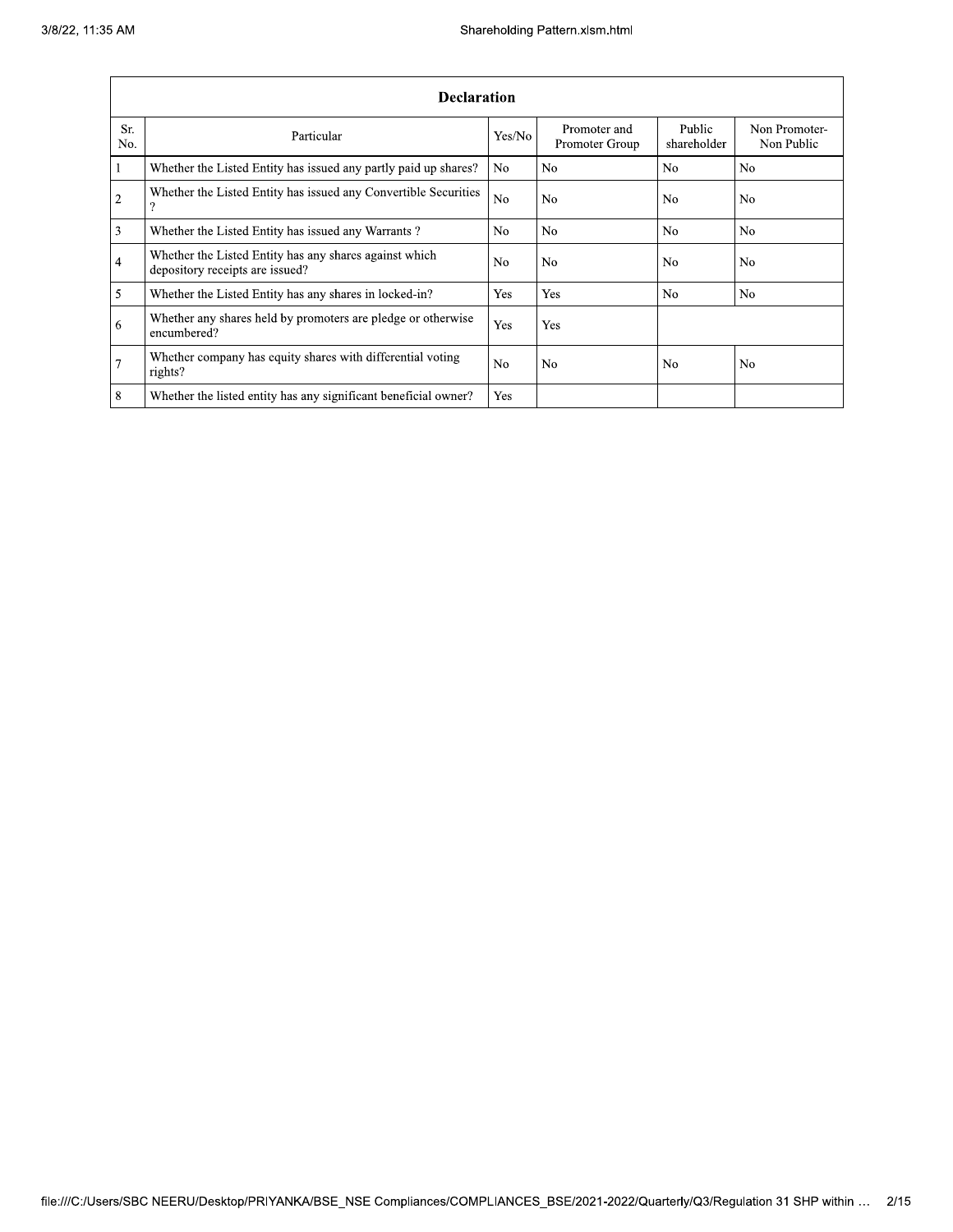|                | <b>Declaration</b>                                                                        |                |                                |                       |                             |  |  |  |  |
|----------------|-------------------------------------------------------------------------------------------|----------------|--------------------------------|-----------------------|-----------------------------|--|--|--|--|
| Sr.<br>No.     | Particular                                                                                | Yes/No         | Promoter and<br>Promoter Group | Public<br>shareholder | Non Promoter-<br>Non Public |  |  |  |  |
| $\mathbf{1}$   | Whether the Listed Entity has issued any partly paid up shares?                           | No.            | N <sub>0</sub>                 | N <sub>o</sub>        | No                          |  |  |  |  |
| $\overline{2}$ | Whether the Listed Entity has issued any Convertible Securities<br>$\Omega$               | N <sub>o</sub> | N <sub>o</sub>                 | N <sub>o</sub>        | No                          |  |  |  |  |
| 3              | Whether the Listed Entity has issued any Warrants?                                        | N <sub>0</sub> | N <sub>0</sub>                 | N <sub>o</sub>        | N <sub>0</sub>              |  |  |  |  |
| 4              | Whether the Listed Entity has any shares against which<br>depository receipts are issued? | N <sub>o</sub> | N <sub>o</sub>                 | N <sub>o</sub>        | No                          |  |  |  |  |
| 5              | Whether the Listed Entity has any shares in locked-in?                                    | Yes            | Yes                            | N <sub>o</sub>        | N <sub>0</sub>              |  |  |  |  |
| 6              | Whether any shares held by promoters are pledge or otherwise<br>encumbered?               | Yes            | Yes                            |                       |                             |  |  |  |  |
| $\overline{7}$ | Whether company has equity shares with differential voting<br>rights?                     | N <sub>o</sub> | N <sub>0</sub>                 | N <sub>o</sub>        | No                          |  |  |  |  |
| 8              | Whether the listed entity has any significant beneficial owner?                           | Yes            |                                |                       |                             |  |  |  |  |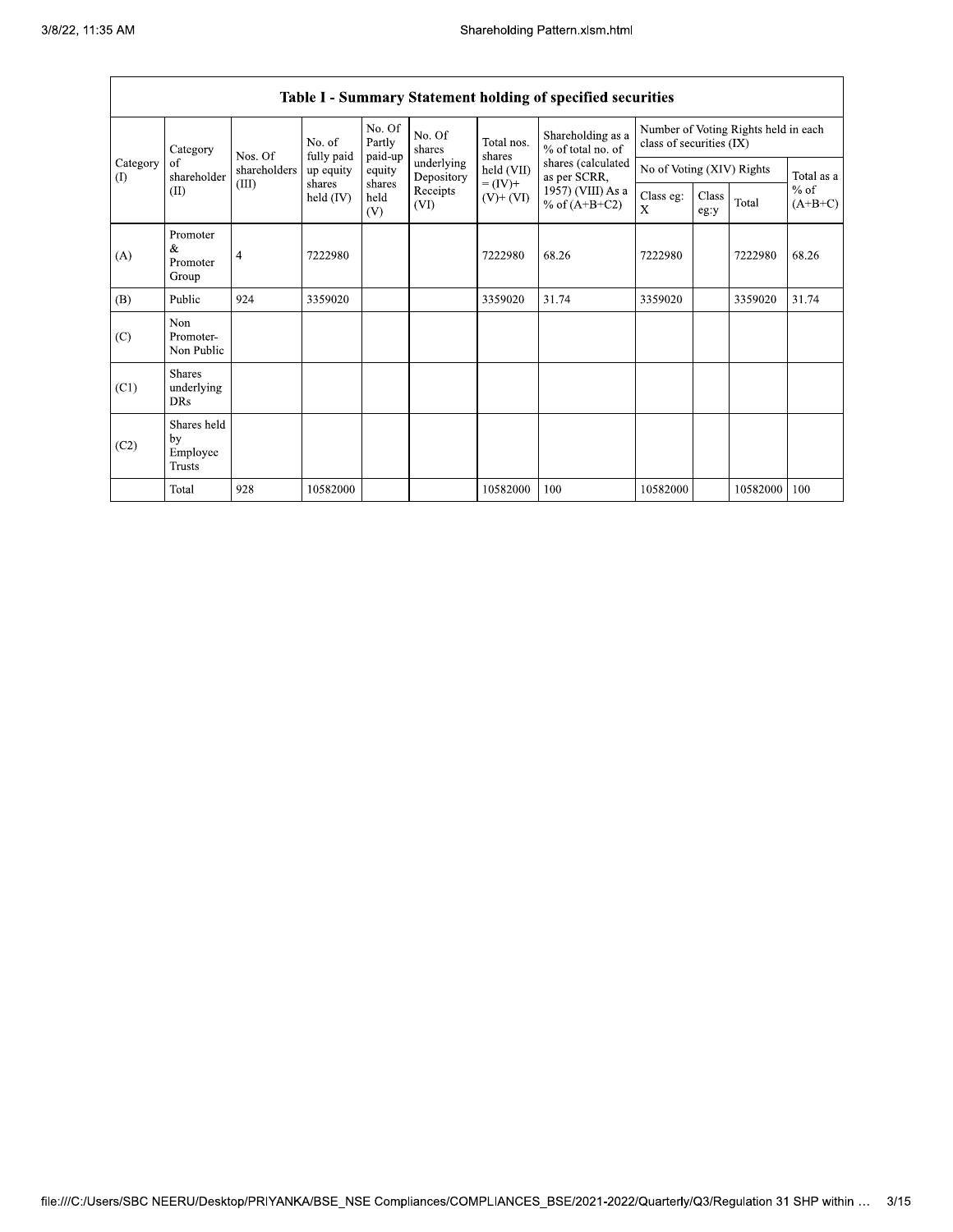| Category                               | No. of<br>Nos. Of                                                                                                                                                                                                                                                       |                    | No. Of<br>Partly<br>paid-up | No. Of<br>Total nos.<br>shares<br>shares | Shareholding as a<br>% of total no. of | Number of Voting Rights held in each<br>class of securities (IX) |       |          |  |          |       |
|----------------------------------------|-------------------------------------------------------------------------------------------------------------------------------------------------------------------------------------------------------------------------------------------------------------------------|--------------------|-----------------------------|------------------------------------------|----------------------------------------|------------------------------------------------------------------|-------|----------|--|----------|-------|
| Category<br>$\left( \mathrm{I}\right)$ | fully paid<br>underlying<br>of<br>held (VII)<br>shareholders<br>up equity<br>equity<br>shareholder<br>as per SCRR,<br>Depository<br>shares<br>$= (IV) +$<br>(III)<br>shares<br>(II)<br>Receipts<br>held $(IV)$<br>held<br>$(V^+ (VI)$<br>$%$ of (A+B+C2)<br>(VI)<br>(V) | shares (calculated | No of Voting (XIV) Rights   |                                          |                                        | Total as a                                                       |       |          |  |          |       |
|                                        |                                                                                                                                                                                                                                                                         | 1957) (VIII) As a  | Class eg:<br>$\mathbf{X}$   | Class<br>eg:y                            | Total                                  | $%$ of<br>$(A+B+C)$                                              |       |          |  |          |       |
| (A)                                    | Promoter<br>&<br>Promoter<br>Group                                                                                                                                                                                                                                      | 4                  | 7222980                     |                                          |                                        | 7222980                                                          | 68.26 | 7222980  |  | 7222980  | 68.26 |
| (B)                                    | Public                                                                                                                                                                                                                                                                  | 924                | 3359020                     |                                          |                                        | 3359020                                                          | 31.74 | 3359020  |  | 3359020  | 31.74 |
| (C)                                    | Non<br>Promoter-<br>Non Public                                                                                                                                                                                                                                          |                    |                             |                                          |                                        |                                                                  |       |          |  |          |       |
| (C1)                                   | <b>Shares</b><br>underlying<br><b>DRs</b>                                                                                                                                                                                                                               |                    |                             |                                          |                                        |                                                                  |       |          |  |          |       |
| (C2)                                   | Shares held<br>by<br>Employee<br><b>Trusts</b>                                                                                                                                                                                                                          |                    |                             |                                          |                                        |                                                                  |       |          |  |          |       |
|                                        | Total                                                                                                                                                                                                                                                                   | 928                | 10582000                    |                                          |                                        | 10582000                                                         | 100   | 10582000 |  | 10582000 | 100   |

# Table I - Summary Statement holding of specified securities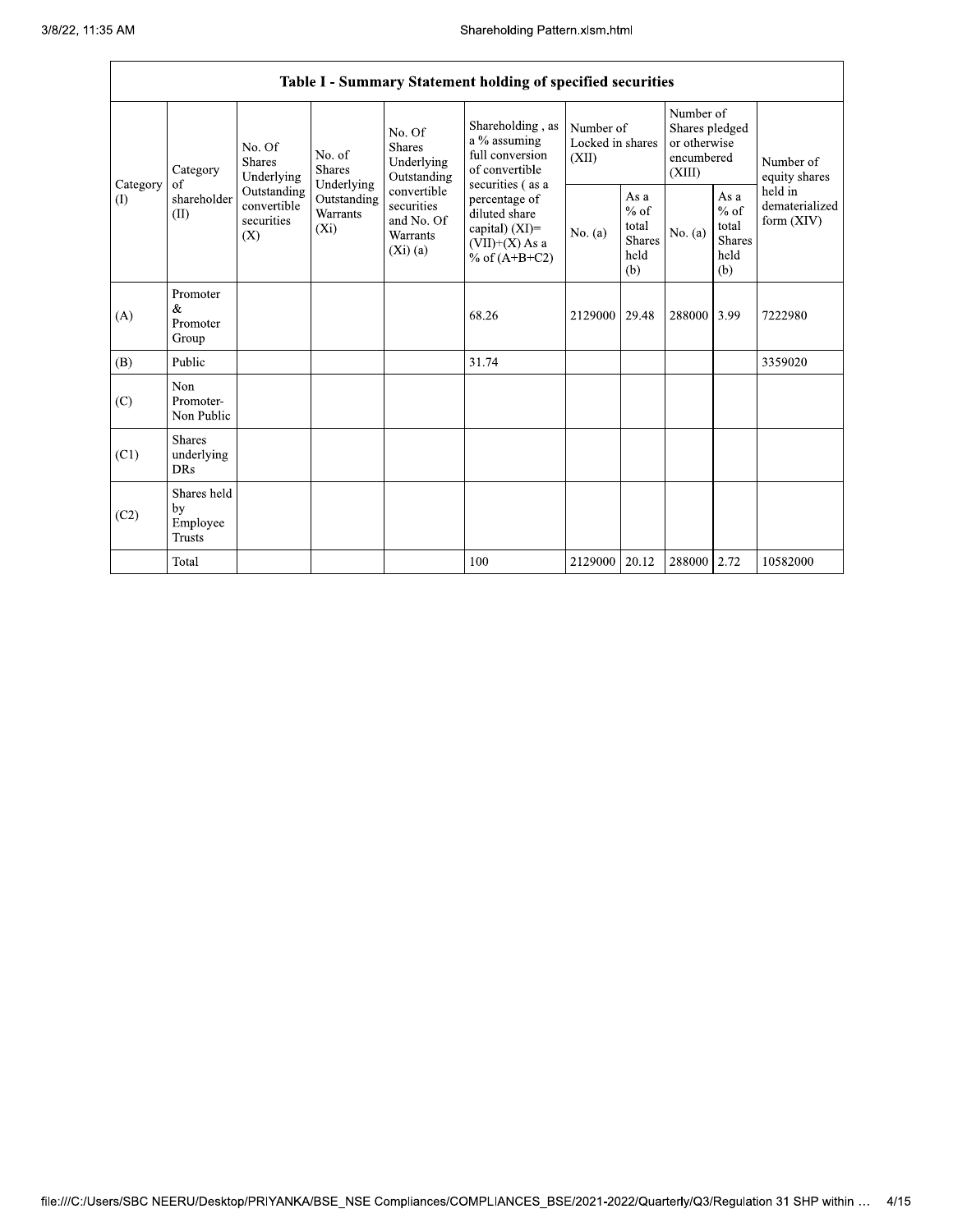Г

|                       |                                                |                                                 |                                                      |                                                                                           | Table I - Summary Statement holding of specified securities                             |           |                                                                     |             |                                                         |                                           |
|-----------------------|------------------------------------------------|-------------------------------------------------|------------------------------------------------------|-------------------------------------------------------------------------------------------|-----------------------------------------------------------------------------------------|-----------|---------------------------------------------------------------------|-------------|---------------------------------------------------------|-------------------------------------------|
| Category              | No. Of<br>Shares<br>Underlying                 | No. of<br><b>Shares</b>                         | No. Of<br><b>Shares</b><br>Underlying<br>Outstanding | Shareholding, as<br>a % assuming<br>full conversion<br>of convertible<br>securities (as a | Number of<br>Locked in shares<br>(XII)                                                  |           | Number of<br>Shares pledged<br>or otherwise<br>encumbered<br>(XIII) |             | Number of<br>equity shares                              |                                           |
| Category<br>$($ I $)$ | of<br>shareholder<br>(II)                      | Outstanding<br>convertible<br>securities<br>(X) | Underlying<br>Outstanding<br>Warrants<br>$(X_i)$     | convertible<br>securities<br>and No. Of<br><b>Warrants</b><br>(Xi)(a)                     | percentage of<br>diluted share<br>capital) (XI)=<br>$(VII)+(X)$ As a<br>% of $(A+B+C2)$ | No. $(a)$ | As a<br>$%$ of<br>total<br><b>Shares</b><br>held<br>(b)             | No. (a)     | As a<br>$%$ of<br>total<br><b>Shares</b><br>held<br>(b) | held in<br>dematerialized<br>form $(XIV)$ |
| (A)                   | Promoter<br>&<br>Promoter<br>Group             |                                                 |                                                      |                                                                                           | 68.26                                                                                   | 2129000   | 29.48                                                               | 288000      | 3.99                                                    | 7222980                                   |
| (B)                   | Public                                         |                                                 |                                                      |                                                                                           | 31.74                                                                                   |           |                                                                     |             |                                                         | 3359020                                   |
| (C)                   | <b>Non</b><br>Promoter-<br>Non Public          |                                                 |                                                      |                                                                                           |                                                                                         |           |                                                                     |             |                                                         |                                           |
| (C1)                  | <b>Shares</b><br>underlying<br><b>DRs</b>      |                                                 |                                                      |                                                                                           |                                                                                         |           |                                                                     |             |                                                         |                                           |
| (C2)                  | Shares held<br>by<br>Employee<br><b>Trusts</b> |                                                 |                                                      |                                                                                           |                                                                                         |           |                                                                     |             |                                                         |                                           |
|                       | Total                                          |                                                 |                                                      |                                                                                           | 100                                                                                     | 2129000   | 20.12                                                               | 288000 2.72 |                                                         | 10582000                                  |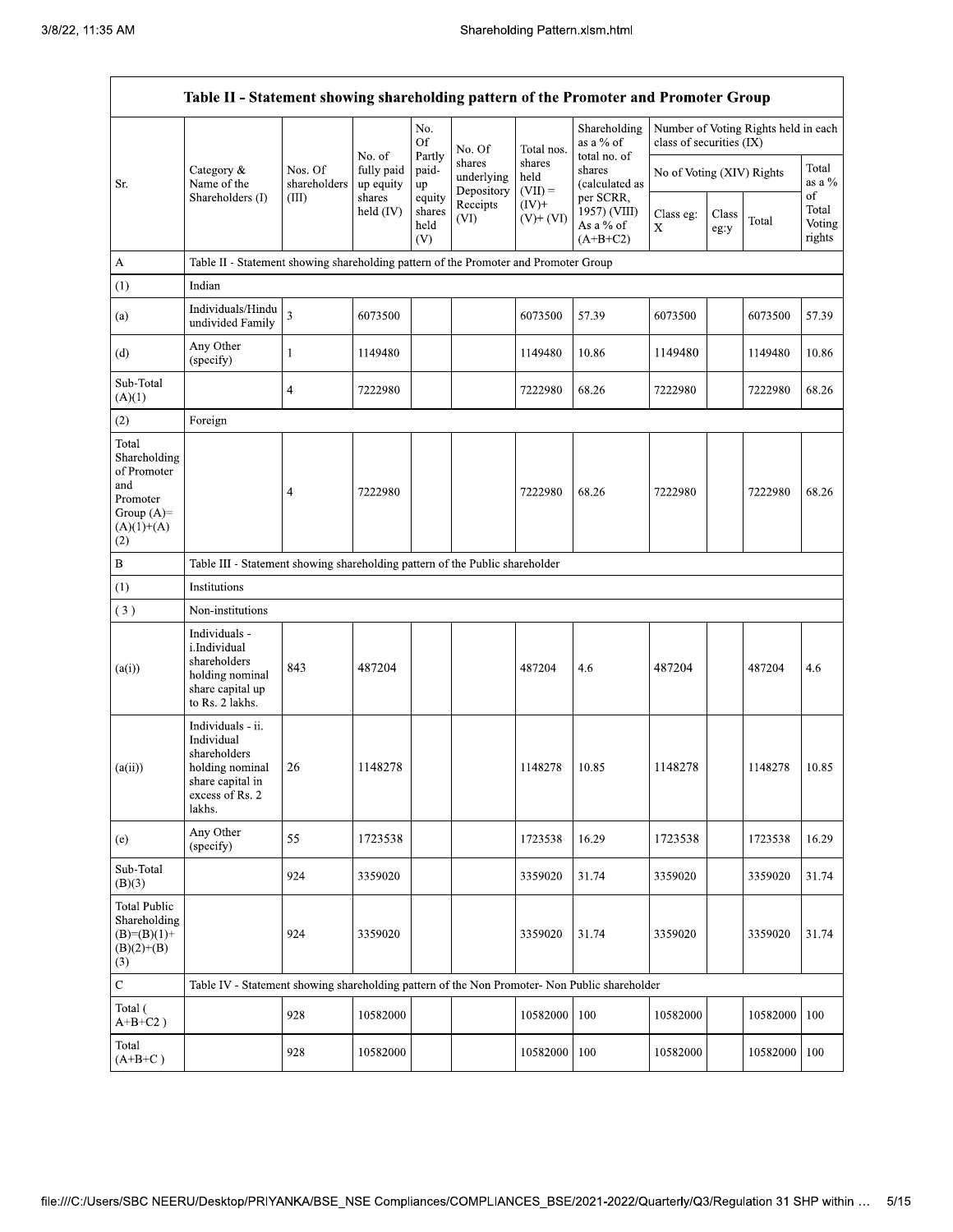|                                                                                                | Table II - Statement showing shareholding pattern of the Promoter and Promoter Group                                |                         |                                   |                                 |                                    |                             |                                                      |                                                                  |               |          |                                 |
|------------------------------------------------------------------------------------------------|---------------------------------------------------------------------------------------------------------------------|-------------------------|-----------------------------------|---------------------------------|------------------------------------|-----------------------------|------------------------------------------------------|------------------------------------------------------------------|---------------|----------|---------------------------------|
|                                                                                                |                                                                                                                     |                         |                                   | No.<br>Of                       | No. Of                             | Total nos.                  | Shareholding<br>as a % of                            | Number of Voting Rights held in each<br>class of securities (IX) |               |          |                                 |
| Sr.                                                                                            | Category &<br>Name of the                                                                                           | Nos. Of<br>shareholders | No. of<br>fully paid<br>up equity | Partly<br>paid-<br>up           | shares<br>underlying<br>Depository | shares<br>held<br>$(VII) =$ | total no. of<br>shares<br>(calculated as             | No of Voting (XIV) Rights                                        |               |          | Total<br>as a $%$               |
|                                                                                                | Shareholders (I)                                                                                                    | (III)                   | shares<br>held $(IV)$             | equity<br>shares<br>held<br>(V) | Receipts<br>(VI)                   | $(IV)+$<br>$(V)+(VI)$       | per SCRR,<br>1957) (VIII)<br>As a % of<br>$(A+B+C2)$ | Class eg:<br>$\mathbf X$                                         | Class<br>eg:y | Total    | of<br>Total<br>Voting<br>rights |
| A                                                                                              | Table II - Statement showing shareholding pattern of the Promoter and Promoter Group                                |                         |                                   |                                 |                                    |                             |                                                      |                                                                  |               |          |                                 |
| (1)                                                                                            | Indian                                                                                                              |                         |                                   |                                 |                                    |                             |                                                      |                                                                  |               |          |                                 |
| (a)                                                                                            | Individuals/Hindu<br>undivided Family                                                                               | $\overline{\mathbf{3}}$ | 6073500                           |                                 |                                    | 6073500                     | 57.39                                                | 6073500                                                          |               | 6073500  | 57.39                           |
| (d)                                                                                            | Any Other<br>(specify)                                                                                              | 1                       | 1149480                           |                                 |                                    | 1149480                     | 10.86                                                | 1149480                                                          |               | 1149480  | 10.86                           |
| Sub-Total<br>(A)(1)                                                                            |                                                                                                                     | $\overline{4}$          | 7222980                           |                                 |                                    | 7222980                     | 68.26                                                | 7222980                                                          |               | 7222980  | 68.26                           |
| (2)                                                                                            | Foreign                                                                                                             |                         |                                   |                                 |                                    |                             |                                                      |                                                                  |               |          |                                 |
| Total<br>Shareholding<br>of Promoter<br>and<br>Promoter<br>Group $(A)=$<br>$(A)(1)+(A)$<br>(2) |                                                                                                                     | 4                       | 7222980                           |                                 |                                    | 7222980                     | 68.26                                                | 7222980                                                          |               | 7222980  | 68.26                           |
| $\, {\bf B}$                                                                                   | Table III - Statement showing shareholding pattern of the Public shareholder                                        |                         |                                   |                                 |                                    |                             |                                                      |                                                                  |               |          |                                 |
| (1)                                                                                            | Institutions                                                                                                        |                         |                                   |                                 |                                    |                             |                                                      |                                                                  |               |          |                                 |
| (3)                                                                                            | Non-institutions                                                                                                    |                         |                                   |                                 |                                    |                             |                                                      |                                                                  |               |          |                                 |
| (a(i))                                                                                         | Individuals -<br>i.Individual<br>shareholders<br>holding nominal<br>share capital up<br>to Rs. 2 lakhs.             | 843                     | 487204                            |                                 |                                    | 487204                      | 4.6                                                  | 487204                                                           |               | 487204   | 4.6                             |
| (a(ii))                                                                                        | Individuals - ii.<br>Individual<br>shareholders<br>holding nominal<br>share capital in<br>excess of Rs. 2<br>lakhs. | 26                      | 1148278                           |                                 |                                    | 1148278                     | 10.85                                                | 1148278                                                          |               | 1148278  | 10.85                           |
| (e)                                                                                            | Any Other<br>(specify)                                                                                              | 55                      | 1723538                           |                                 |                                    | 1723538                     | 16.29                                                | 1723538                                                          |               | 1723538  | 16.29                           |
| Sub-Total<br>(B)(3)                                                                            |                                                                                                                     | 924                     | 3359020                           |                                 |                                    | 3359020                     | 31.74                                                | 3359020                                                          |               | 3359020  | 31.74                           |
| <b>Total Public</b><br>Shareholding<br>$(B)=(B)(1)$ +<br>$(B)(2)+(B)$<br>(3)                   |                                                                                                                     | 924                     | 3359020                           |                                 |                                    | 3359020                     | 31.74                                                | 3359020                                                          |               | 3359020  | 31.74                           |
| $\overline{\mathbf{C}}$                                                                        | Table IV - Statement showing shareholding pattern of the Non Promoter- Non Public shareholder                       |                         |                                   |                                 |                                    |                             |                                                      |                                                                  |               |          |                                 |
| Total (<br>$A+B+C2$ )                                                                          |                                                                                                                     | 928                     | 10582000                          |                                 |                                    | 10582000                    | 100                                                  | 10582000                                                         |               | 10582000 | 100                             |
| Total<br>$(A+B+C)$                                                                             |                                                                                                                     | 928                     | 10582000                          |                                 |                                    | 10582000                    | 100                                                  | 10582000                                                         |               | 10582000 | 100                             |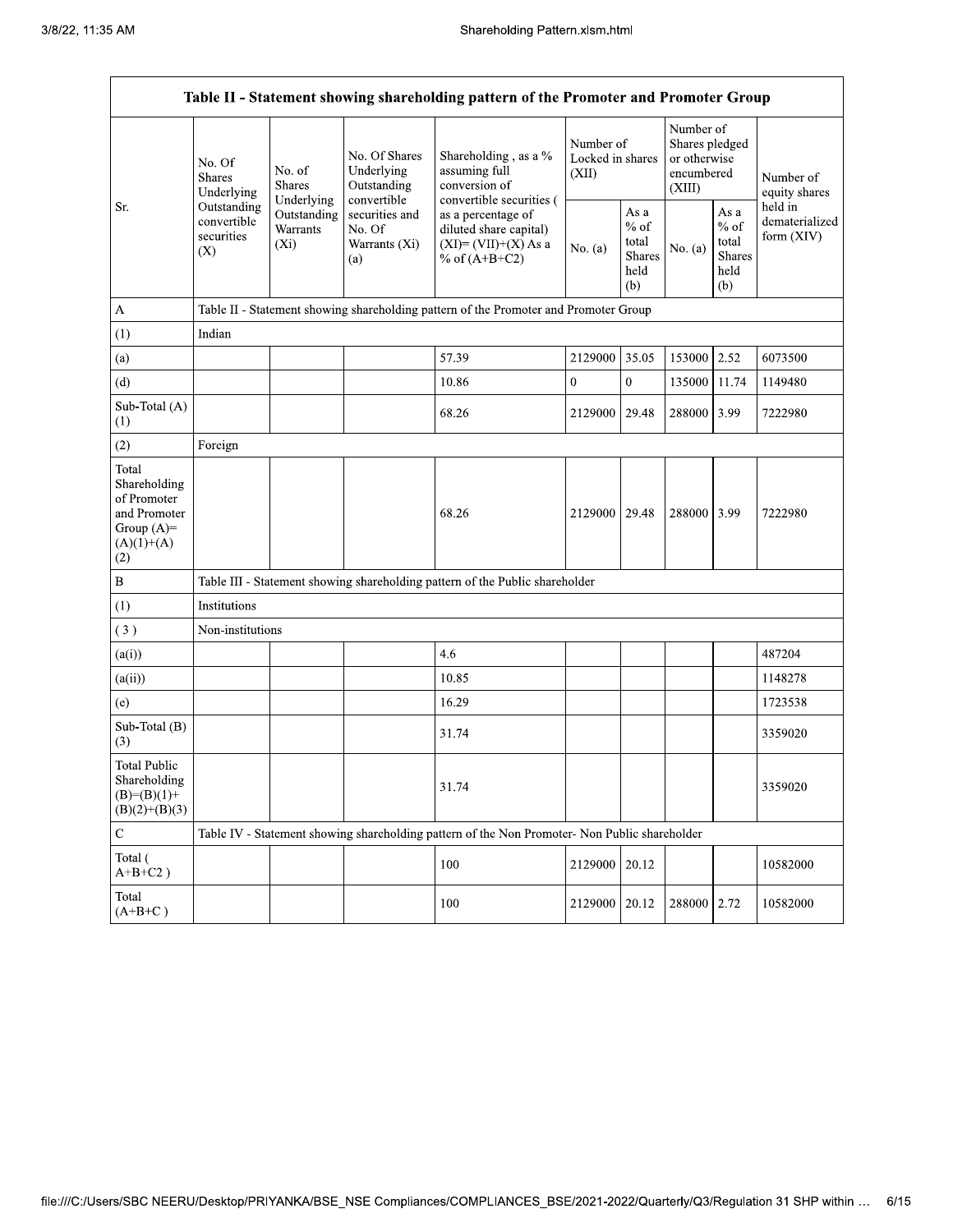|                                                                                             | Table II - Statement showing shareholding pattern of the Promoter and Promoter Group |                                                           |                                                                                    |                                                                                               |               |                                                                     |             |                                                         |                                         |
|---------------------------------------------------------------------------------------------|--------------------------------------------------------------------------------------|-----------------------------------------------------------|------------------------------------------------------------------------------------|-----------------------------------------------------------------------------------------------|---------------|---------------------------------------------------------------------|-------------|---------------------------------------------------------|-----------------------------------------|
|                                                                                             | No. Of<br>No. of<br><b>Shares</b><br><b>Shares</b><br>Underlying                     | No. Of Shares<br>Underlying<br>Outstanding<br>convertible | Shareholding, as a %<br>assuming full<br>conversion of<br>convertible securities ( | Number of<br>Locked in shares<br>(XII)                                                        |               | Number of<br>Shares pledged<br>or otherwise<br>encumbered<br>(XIII) |             | Number of<br>equity shares                              |                                         |
| Sr.                                                                                         | Outstanding<br>convertible<br>securities<br>(X)                                      | Underlying<br>Outstanding<br>Warrants<br>$(X_i)$          | securities and<br>No. Of<br>Warrants (Xi)<br>(a)                                   | as a percentage of<br>diluted share capital)<br>$(XI) = (VII)+(X) As a$<br>% of $(A+B+C2)$    | No. $(a)$     | As a<br>$%$ of<br>total<br>Shares<br>held<br>(b)                    | No. $(a)$   | As a<br>$%$ of<br>total<br><b>Shares</b><br>held<br>(b) | held in<br>dematerialized<br>form (XIV) |
| A                                                                                           |                                                                                      |                                                           |                                                                                    | Table II - Statement showing shareholding pattern of the Promoter and Promoter Group          |               |                                                                     |             |                                                         |                                         |
| (1)                                                                                         | Indian                                                                               |                                                           |                                                                                    |                                                                                               |               |                                                                     |             |                                                         |                                         |
| (a)                                                                                         |                                                                                      |                                                           |                                                                                    | 57.39                                                                                         | 2129000       | 35.05                                                               | 153000      | 2.52                                                    | 6073500                                 |
| (d)                                                                                         |                                                                                      |                                                           |                                                                                    | 10.86                                                                                         | $\mathbf{0}$  | $\overline{0}$                                                      | 135000      | 11.74                                                   | 1149480                                 |
| Sub-Total (A)<br>(1)                                                                        |                                                                                      |                                                           |                                                                                    | 68.26                                                                                         | 2129000       | 29.48                                                               | 288000      | 3.99                                                    | 7222980                                 |
| (2)                                                                                         | Foreign                                                                              |                                                           |                                                                                    |                                                                                               |               |                                                                     |             |                                                         |                                         |
| Total<br>Shareholding<br>of Promoter<br>and Promoter<br>Group $(A)=$<br>$(A)(1)+(A)$<br>(2) |                                                                                      |                                                           |                                                                                    | 68.26                                                                                         | 2129000 29.48 |                                                                     | 288000 3.99 |                                                         | 7222980                                 |
| $\, {\bf B}$                                                                                |                                                                                      |                                                           |                                                                                    | Table III - Statement showing shareholding pattern of the Public shareholder                  |               |                                                                     |             |                                                         |                                         |
| (1)                                                                                         | Institutions                                                                         |                                                           |                                                                                    |                                                                                               |               |                                                                     |             |                                                         |                                         |
| (3)                                                                                         | Non-institutions                                                                     |                                                           |                                                                                    |                                                                                               |               |                                                                     |             |                                                         |                                         |
| (a(i))                                                                                      |                                                                                      |                                                           |                                                                                    | 4.6                                                                                           |               |                                                                     |             |                                                         | 487204                                  |
| (a(ii))                                                                                     |                                                                                      |                                                           |                                                                                    | 10.85                                                                                         |               |                                                                     |             |                                                         | 1148278                                 |
| (e)                                                                                         |                                                                                      |                                                           |                                                                                    | 16.29                                                                                         |               |                                                                     |             |                                                         | 1723538                                 |
| Sub-Total (B)<br>(3)                                                                        |                                                                                      |                                                           |                                                                                    | 31.74                                                                                         |               |                                                                     |             |                                                         | 3359020                                 |
| <b>Total Public</b><br>Shareholding<br>$(B)=(B)(1)+$<br>$(B)(2)+(B)(3)$                     |                                                                                      |                                                           |                                                                                    | 31.74                                                                                         |               |                                                                     |             |                                                         | 3359020                                 |
| ${\bf C}$                                                                                   |                                                                                      |                                                           |                                                                                    | Table IV - Statement showing shareholding pattern of the Non Promoter- Non Public shareholder |               |                                                                     |             |                                                         |                                         |
| Total (<br>$A+B+C2$ )                                                                       |                                                                                      |                                                           |                                                                                    | 100                                                                                           | 2129000       | 20.12                                                               |             |                                                         | 10582000                                |
| Total<br>$(A+B+C)$                                                                          |                                                                                      |                                                           |                                                                                    | 100                                                                                           | 2129000       | 20.12                                                               | 288000 2.72 |                                                         | 10582000                                |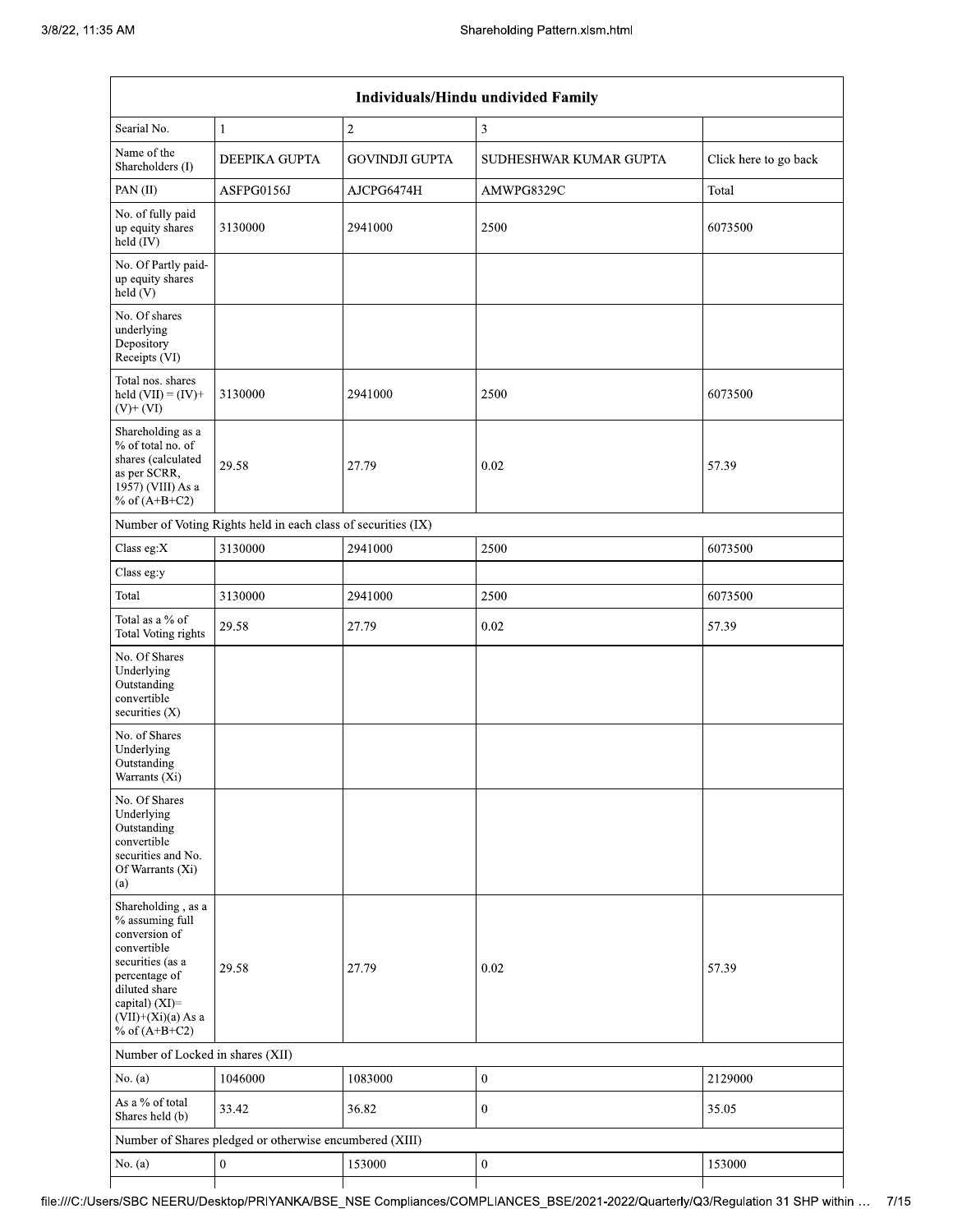|                                                                                                                                                                                             | Individuals/Hindu undivided Family                            |                       |                        |                       |  |  |  |
|---------------------------------------------------------------------------------------------------------------------------------------------------------------------------------------------|---------------------------------------------------------------|-----------------------|------------------------|-----------------------|--|--|--|
| Searial No.                                                                                                                                                                                 | 1                                                             | $\sqrt{2}$            | 3                      |                       |  |  |  |
| Name of the<br>Shareholders (I)                                                                                                                                                             | DEEPIKA GUPTA                                                 | <b>GOVINDJI GUPTA</b> | SUDHESHWAR KUMAR GUPTA | Click here to go back |  |  |  |
| PAN(II)                                                                                                                                                                                     | ASFPG0156J                                                    | AJCPG6474H            | AMWPG8329C             | Total                 |  |  |  |
| No. of fully paid<br>up equity shares<br>$held$ (IV)                                                                                                                                        | 3130000                                                       | 2941000               | 2500                   | 6073500               |  |  |  |
| No. Of Partly paid-<br>up equity shares<br>held (V)                                                                                                                                         |                                                               |                       |                        |                       |  |  |  |
| No. Of shares<br>underlying<br>Depository<br>Receipts (VI)                                                                                                                                  |                                                               |                       |                        |                       |  |  |  |
| Total nos. shares<br>held $(VII) = (IV) +$<br>$(V)$ + $(VI)$                                                                                                                                | 3130000                                                       | 2941000               | 2500                   | 6073500               |  |  |  |
| Shareholding as a<br>% of total no. of<br>shares (calculated<br>as per SCRR,<br>1957) (VIII) As a<br>% of $(A+B+C2)$                                                                        | 29.58                                                         | 27.79                 | 0.02                   | 57.39                 |  |  |  |
|                                                                                                                                                                                             | Number of Voting Rights held in each class of securities (IX) |                       |                        |                       |  |  |  |
| Class eg:X                                                                                                                                                                                  | 3130000                                                       | 2941000               | 2500                   | 6073500               |  |  |  |
| Class eg:y                                                                                                                                                                                  |                                                               |                       |                        |                       |  |  |  |
| Total                                                                                                                                                                                       | 3130000                                                       | 2941000               | 2500                   | 6073500               |  |  |  |
| Total as a $\%$ of<br>Total Voting rights                                                                                                                                                   | 29.58                                                         | 27.79                 | 0.02                   | 57.39                 |  |  |  |
| No. Of Shares<br>Underlying<br>Outstanding<br>convertible<br>securities (X)                                                                                                                 |                                                               |                       |                        |                       |  |  |  |
| No. of Shares<br>Underlying<br>Outstanding<br>Warrants (Xi)                                                                                                                                 |                                                               |                       |                        |                       |  |  |  |
| No. Of Shares<br>Underlying<br>Outstanding<br>convertible<br>securities and No.<br>Of Warrants (Xi)<br>(a)                                                                                  |                                                               |                       |                        |                       |  |  |  |
| Shareholding, as a<br>% assuming full<br>conversion of<br>convertible<br>securities (as a<br>percentage of<br>diluted share<br>capital) $(XI)$ =<br>$(VII)+(Xi)(a) As a$<br>% of $(A+B+C2)$ | 29.58                                                         | 27.79                 | 0.02                   | 57.39                 |  |  |  |
| Number of Locked in shares (XII)                                                                                                                                                            |                                                               |                       |                        |                       |  |  |  |
| No. $(a)$                                                                                                                                                                                   | 1046000                                                       | 1083000               | $\boldsymbol{0}$       | 2129000               |  |  |  |
| As a % of total<br>Shares held (b)                                                                                                                                                          | 33.42                                                         | 36.82                 | $\boldsymbol{0}$       | 35.05                 |  |  |  |
|                                                                                                                                                                                             | Number of Shares pledged or otherwise encumbered (XIII)       |                       |                        |                       |  |  |  |
| No. $(a)$                                                                                                                                                                                   | $\boldsymbol{0}$                                              | 153000                | $\boldsymbol{0}$       | 153000                |  |  |  |
|                                                                                                                                                                                             |                                                               |                       |                        |                       |  |  |  |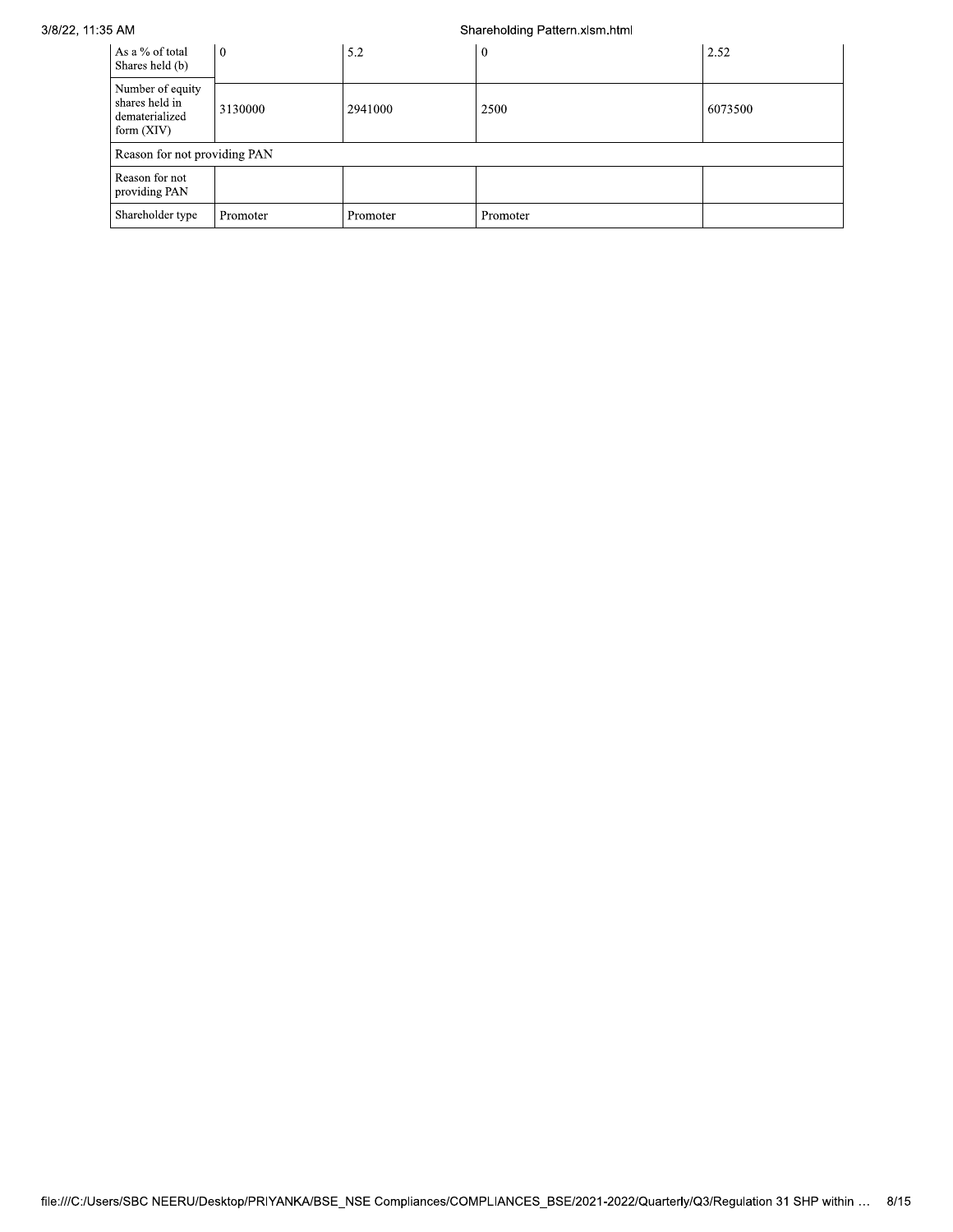# 3/8/22, 11:35 AM

## Shareholding Pattern.xlsm.html

| As a % of total<br>Shares held (b)                                   | $\theta$ | 5.2      | $\mathbf{0}$ | 2.52    |
|----------------------------------------------------------------------|----------|----------|--------------|---------|
| Number of equity<br>shares held in<br>dematerialized<br>form $(XIV)$ | 3130000  | 2941000  | 2500         | 6073500 |
| Reason for not providing PAN                                         |          |          |              |         |
| Reason for not<br>providing PAN                                      |          |          |              |         |
| Shareholder type                                                     | Promoter | Promoter | Promoter     |         |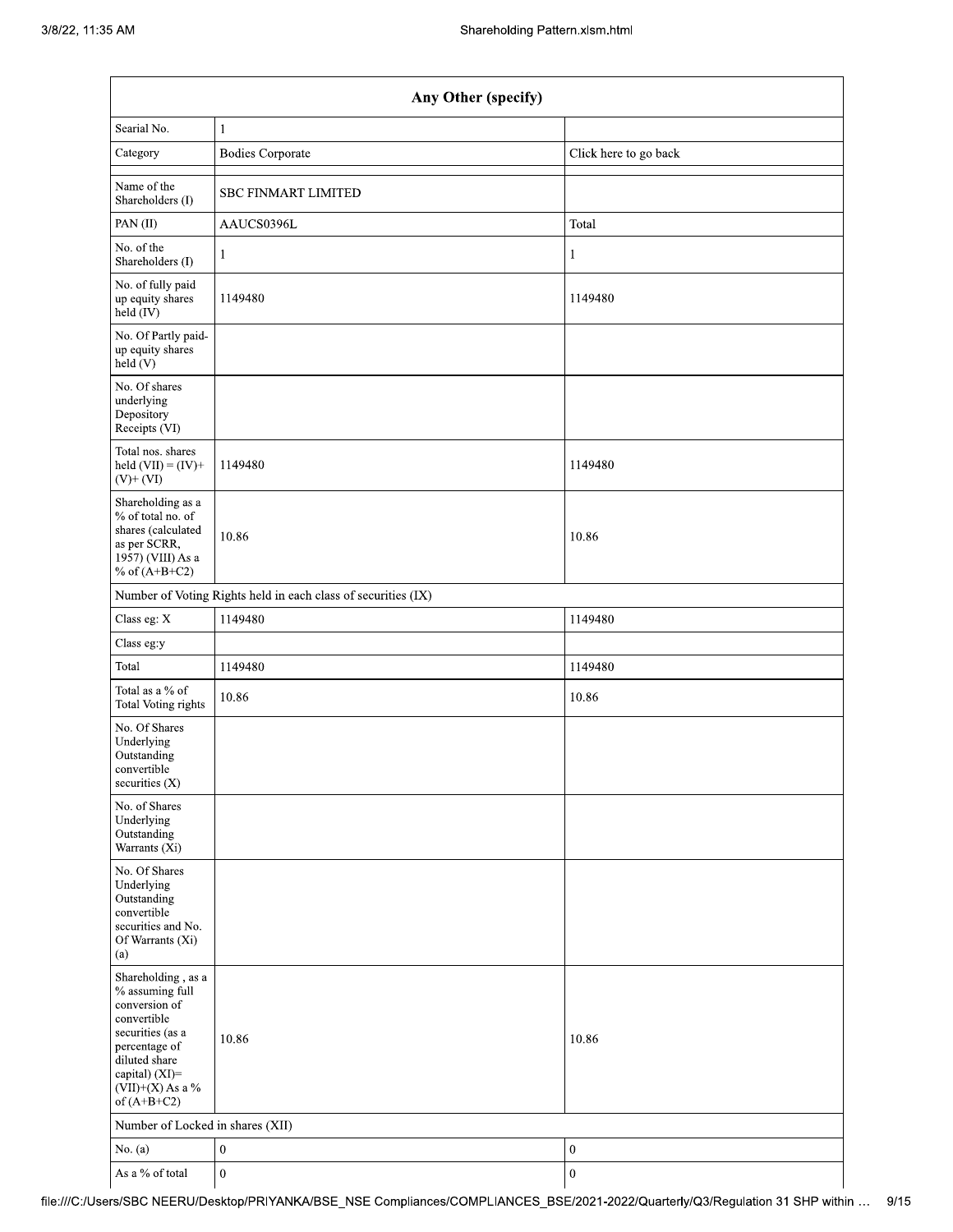| Any Other (specify)                                                                                                                                                                  |                                                               |                       |  |  |  |  |
|--------------------------------------------------------------------------------------------------------------------------------------------------------------------------------------|---------------------------------------------------------------|-----------------------|--|--|--|--|
| Searial No.                                                                                                                                                                          | $\mathbf{1}$                                                  |                       |  |  |  |  |
| Category                                                                                                                                                                             | <b>Bodies Corporate</b>                                       | Click here to go back |  |  |  |  |
| Name of the<br>Shareholders (I)                                                                                                                                                      | <b>SBC FINMART LIMITED</b>                                    |                       |  |  |  |  |
| PAN(II)                                                                                                                                                                              | AAUCS0396L                                                    | Total                 |  |  |  |  |
| No. of the<br>Shareholders (I)                                                                                                                                                       | $\mathbf{1}$                                                  | 1                     |  |  |  |  |
| No. of fully paid<br>up equity shares<br>held (IV)                                                                                                                                   | 1149480                                                       | 1149480               |  |  |  |  |
| No. Of Partly paid-<br>up equity shares<br>held (V)                                                                                                                                  |                                                               |                       |  |  |  |  |
| No. Of shares<br>underlying<br>Depository<br>Receipts (VI)                                                                                                                           |                                                               |                       |  |  |  |  |
| Total nos. shares<br>held $(VII) = (IV) +$<br>$(V)$ + $(VI)$                                                                                                                         | 1149480                                                       | 1149480               |  |  |  |  |
| Shareholding as a<br>% of total no. of<br>shares (calculated<br>as per SCRR,<br>1957) (VIII) As a<br>% of $(A+B+C2)$                                                                 | 10.86                                                         | 10.86                 |  |  |  |  |
|                                                                                                                                                                                      | Number of Voting Rights held in each class of securities (IX) |                       |  |  |  |  |
| Class eg: X                                                                                                                                                                          | 1149480                                                       | 1149480               |  |  |  |  |
| Class eg:y                                                                                                                                                                           |                                                               |                       |  |  |  |  |
| Total                                                                                                                                                                                | 1149480                                                       | 1149480               |  |  |  |  |
| Total as a % of<br>Total Voting rights                                                                                                                                               | 10.86                                                         | 10.86                 |  |  |  |  |
| No. Of Shares<br>Underlying<br>Outstanding<br>convertible<br>securities $(X)$                                                                                                        |                                                               |                       |  |  |  |  |
| No. of Shares<br>Underlying<br>Outstanding<br>Warrants (Xi)                                                                                                                          |                                                               |                       |  |  |  |  |
| No. Of Shares<br>Underlying<br>Outstanding<br>convertible<br>securities and No.<br>Of Warrants (Xi)<br>(a)                                                                           |                                                               |                       |  |  |  |  |
| Shareholding, as a<br>% assuming full<br>conversion of<br>convertible<br>securities (as a<br>percentage of<br>diluted share<br>capital) (XI)=<br>$(VII)+(X)$ As a %<br>of $(A+B+C2)$ | 10.86                                                         | 10.86                 |  |  |  |  |
| Number of Locked in shares (XII)                                                                                                                                                     |                                                               |                       |  |  |  |  |
| No. $(a)$                                                                                                                                                                            | $\boldsymbol{0}$                                              | $\boldsymbol{0}$      |  |  |  |  |
| As a % of total                                                                                                                                                                      | $\boldsymbol{0}$                                              | $\boldsymbol{0}$      |  |  |  |  |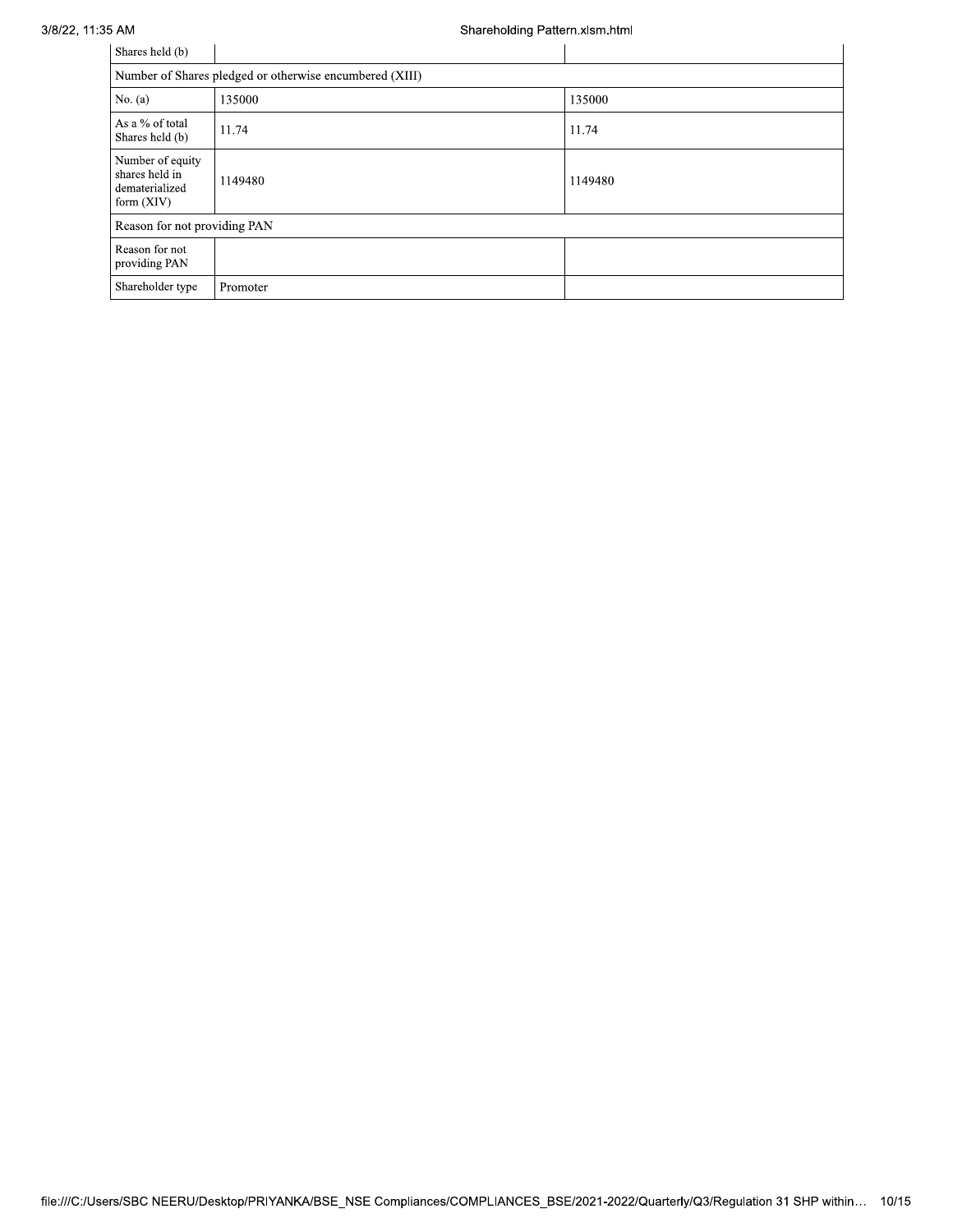### 3/8/22, 11:35 AM

## Shareholding Pattern.xlsm.html

| Shares held (b)                                                      |                                                         |         |  |  |  |
|----------------------------------------------------------------------|---------------------------------------------------------|---------|--|--|--|
|                                                                      | Number of Shares pledged or otherwise encumbered (XIII) |         |  |  |  |
| No. $(a)$                                                            | 135000                                                  | 135000  |  |  |  |
| As a % of total<br>Shares held (b)                                   | 11.74                                                   | 11.74   |  |  |  |
| Number of equity<br>shares held in<br>dematerialized<br>form $(XIV)$ | 1149480                                                 | 1149480 |  |  |  |
|                                                                      | Reason for not providing PAN                            |         |  |  |  |
| Reason for not<br>providing PAN                                      |                                                         |         |  |  |  |
| Shareholder type                                                     | Promoter                                                |         |  |  |  |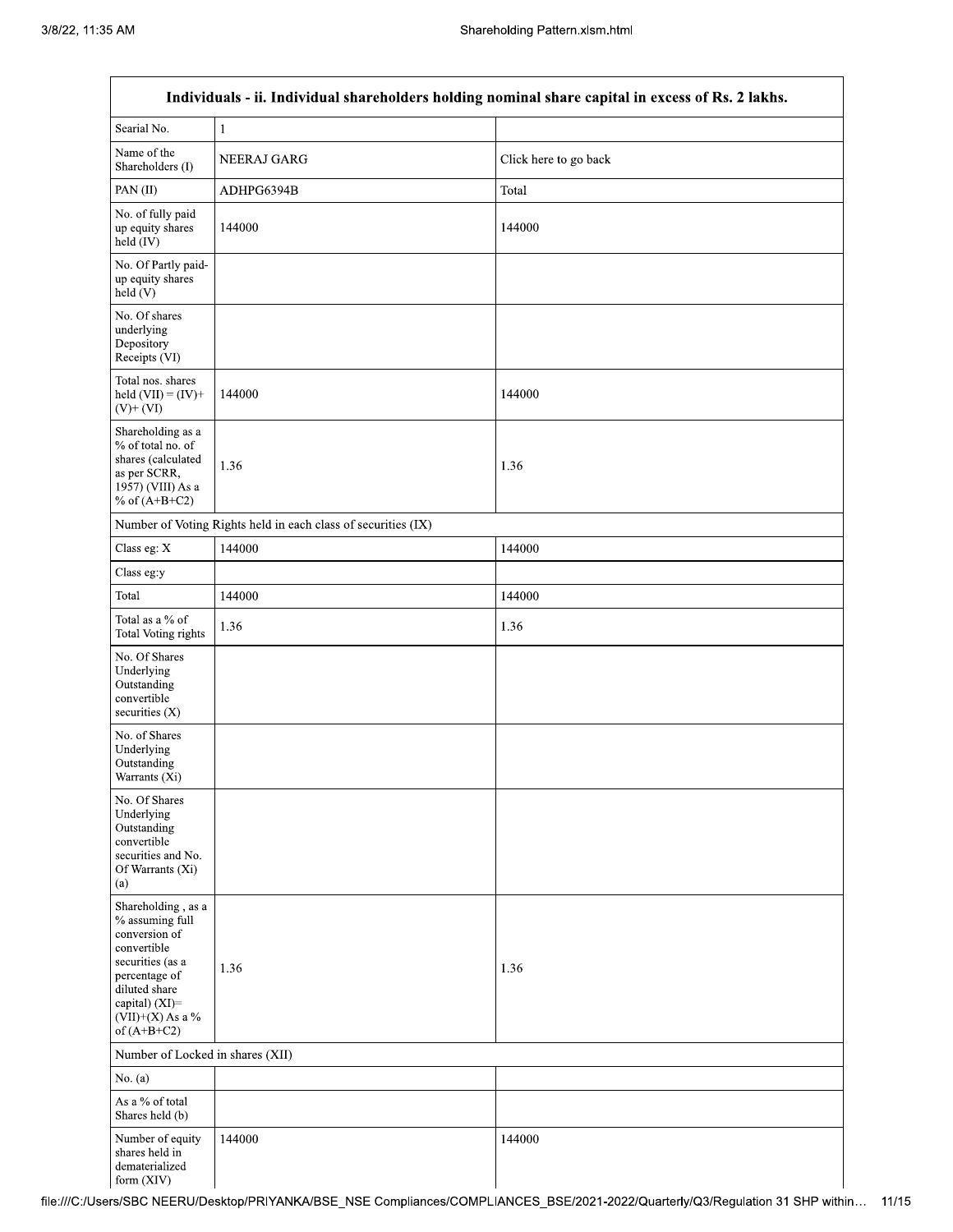|                                                                                                                                                                                      | Individuals - ii. Individual shareholders holding nominal share capital in excess of Rs. 2 lakhs. |                       |  |  |  |
|--------------------------------------------------------------------------------------------------------------------------------------------------------------------------------------|---------------------------------------------------------------------------------------------------|-----------------------|--|--|--|
| Searial No.                                                                                                                                                                          | $\mathbf{l}$                                                                                      |                       |  |  |  |
| Name of the<br>Shareholders (I)                                                                                                                                                      | NEERAJ GARG                                                                                       | Click here to go back |  |  |  |
| PAN(II)                                                                                                                                                                              | ADHPG6394B                                                                                        | Total                 |  |  |  |
| No. of fully paid<br>up equity shares<br>$held$ (IV)                                                                                                                                 | 144000                                                                                            | 144000                |  |  |  |
| No. Of Partly paid-<br>up equity shares<br>held(V)                                                                                                                                   |                                                                                                   |                       |  |  |  |
| No. Of shares<br>underlying<br>Depository<br>Receipts (VI)                                                                                                                           |                                                                                                   |                       |  |  |  |
| Total nos. shares<br>held $(VII) = (IV) +$<br>$(V)$ + $(VI)$                                                                                                                         | 144000                                                                                            | 144000                |  |  |  |
| Shareholding as a<br>% of total no. of<br>shares (calculated<br>as per SCRR,<br>1957) (VIII) As a<br>% of $(A+B+C2)$                                                                 | 1.36                                                                                              | 1.36                  |  |  |  |
|                                                                                                                                                                                      | Number of Voting Rights held in each class of securities (IX)                                     |                       |  |  |  |
| Class eg: $\mathbf X$                                                                                                                                                                | 144000                                                                                            | 144000                |  |  |  |
| Class eg:y                                                                                                                                                                           |                                                                                                   |                       |  |  |  |
| Total                                                                                                                                                                                | 144000                                                                                            | 144000                |  |  |  |
| Total as a % of<br>Total Voting rights                                                                                                                                               | 1.36                                                                                              | 1.36                  |  |  |  |
| No. Of Shares<br>Underlying<br>Outstanding<br>convertible<br>securities (X)                                                                                                          |                                                                                                   |                       |  |  |  |
| No. of Shares<br>Underlying<br>Outstanding<br>Warrants (Xi)                                                                                                                          |                                                                                                   |                       |  |  |  |
| No. Of Shares<br>Underlying<br>Outstanding<br>convertible<br>securities and No.<br>Of Warrants (Xi)<br>(a)                                                                           |                                                                                                   |                       |  |  |  |
| Shareholding, as a<br>% assuming full<br>conversion of<br>convertible<br>securities (as a<br>percentage of<br>diluted share<br>capital) (XI)=<br>$(VII)+(X)$ As a %<br>of $(A+B+C2)$ | 1.36                                                                                              | 1.36                  |  |  |  |
| Number of Locked in shares (XII)                                                                                                                                                     |                                                                                                   |                       |  |  |  |
| No. $(a)$                                                                                                                                                                            |                                                                                                   |                       |  |  |  |
| As a % of total<br>Shares held (b)                                                                                                                                                   |                                                                                                   |                       |  |  |  |
| Number of equity<br>shares held in<br>dematerialized<br>form (XIV)                                                                                                                   | 144000                                                                                            | 144000                |  |  |  |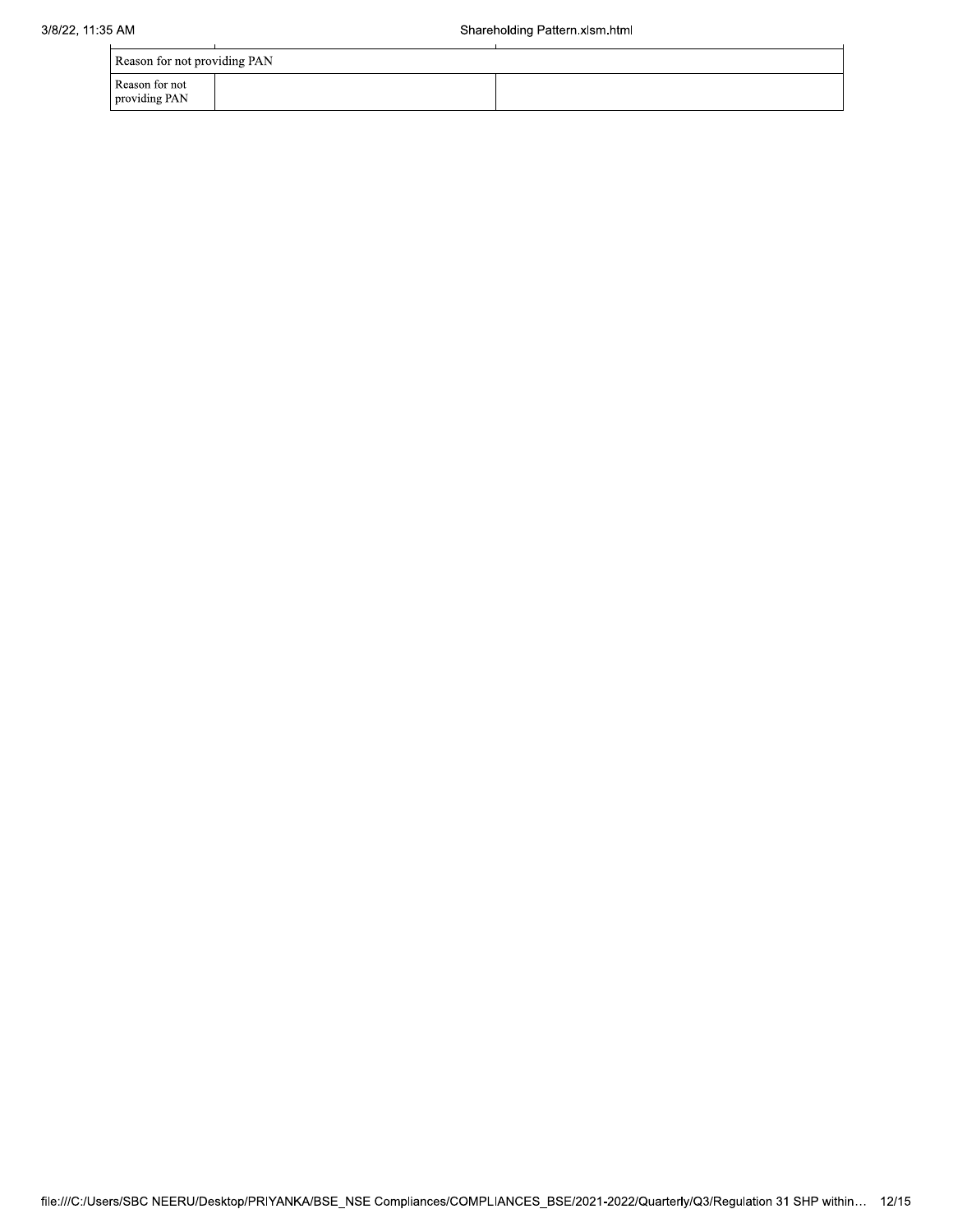|                                 | Reason for not providing PAN |  |  |  |  |  |
|---------------------------------|------------------------------|--|--|--|--|--|
| Reason for not<br>providing PAN |                              |  |  |  |  |  |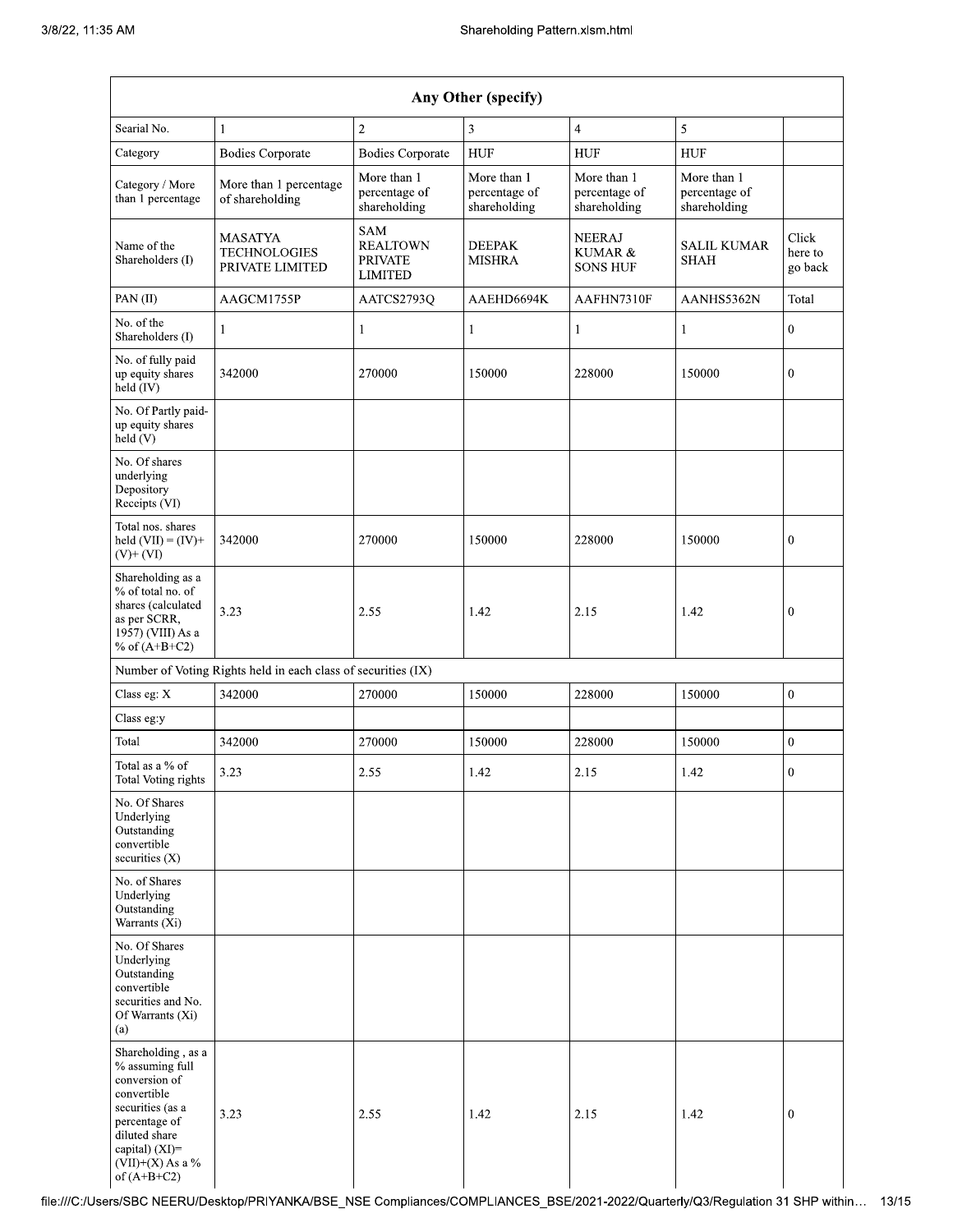| Any Other (specify)                                                                                                                                                                     |                                                               |                                                            |                                              |                                              |                                              |                             |  |  |  |  |
|-----------------------------------------------------------------------------------------------------------------------------------------------------------------------------------------|---------------------------------------------------------------|------------------------------------------------------------|----------------------------------------------|----------------------------------------------|----------------------------------------------|-----------------------------|--|--|--|--|
| Searial No.                                                                                                                                                                             | 1                                                             | $\mathbf{2}$                                               | 3                                            | $\overline{\mathbf{4}}$                      | 5                                            |                             |  |  |  |  |
| Category                                                                                                                                                                                | <b>Bodies Corporate</b>                                       | <b>Bodies Corporate</b>                                    | <b>HUF</b>                                   | <b>HUF</b>                                   | <b>HUF</b>                                   |                             |  |  |  |  |
| Category / More<br>than 1 percentage                                                                                                                                                    | More than 1 percentage<br>of shareholding                     | More than 1<br>percentage of<br>shareholding               | More than 1<br>percentage of<br>shareholding | More than 1<br>percentage of<br>shareholding | More than 1<br>percentage of<br>shareholding |                             |  |  |  |  |
| Name of the<br>Shareholders (I)                                                                                                                                                         | <b>MASATYA</b><br><b>TECHNOLOGIES</b><br>PRIVATE LIMITED      | SAM<br><b>REALTOWN</b><br><b>PRIVATE</b><br><b>LIMITED</b> | <b>DEEPAK</b><br><b>MISHRA</b>               | <b>NEERAJ</b><br>KUMAR &<br><b>SONS HUF</b>  | <b>SALIL KUMAR</b><br><b>SHAH</b>            | Click<br>here to<br>go back |  |  |  |  |
| PAN(II)                                                                                                                                                                                 | AAGCM1755P                                                    | AATCS2793Q                                                 | AAEHD6694K                                   | AAFHN7310F                                   | AANHS5362N                                   | Total                       |  |  |  |  |
| No. of the<br>Shareholders (I)                                                                                                                                                          | 1                                                             | $\mathbf{1}$                                               | $\mathbf{1}$                                 | 1                                            | $\mathbf{1}$                                 | $\overline{0}$              |  |  |  |  |
| No. of fully paid<br>up equity shares<br>held (IV)                                                                                                                                      | 342000                                                        | 270000                                                     | 150000                                       | 228000                                       | 150000                                       | $\boldsymbol{0}$            |  |  |  |  |
| No. Of Partly paid-<br>up equity shares<br>held (V)                                                                                                                                     |                                                               |                                                            |                                              |                                              |                                              |                             |  |  |  |  |
| No. Of shares<br>underlying<br>Depository<br>Receipts (VI)                                                                                                                              |                                                               |                                                            |                                              |                                              |                                              |                             |  |  |  |  |
| Total nos. shares<br>held $(VII) = (IV) +$<br>$(V)$ + $(VI)$                                                                                                                            | 342000                                                        | 270000                                                     | 150000                                       | 228000                                       | 150000                                       | $\boldsymbol{0}$            |  |  |  |  |
| Shareholding as a<br>% of total no. of<br>shares (calculated<br>as per SCRR,<br>1957) (VIII) As a<br>% of $(A+B+C2)$                                                                    | 3.23                                                          | 2.55                                                       | 1.42                                         | 2.15                                         | 1.42                                         | $\mathbf{0}$                |  |  |  |  |
|                                                                                                                                                                                         | Number of Voting Rights held in each class of securities (IX) |                                                            |                                              |                                              |                                              |                             |  |  |  |  |
| Class eg: X                                                                                                                                                                             | 342000                                                        | 270000                                                     | 150000                                       | 228000                                       | 150000                                       | $\boldsymbol{0}$            |  |  |  |  |
| Class eg:y                                                                                                                                                                              |                                                               |                                                            |                                              |                                              |                                              |                             |  |  |  |  |
| Total                                                                                                                                                                                   | 342000                                                        | 270000                                                     | 150000                                       | 228000                                       | 150000                                       | $\overline{0}$              |  |  |  |  |
| Total as a % of<br>Total Voting rights                                                                                                                                                  | 3.23                                                          | 2.55                                                       | 1.42                                         | 2.15                                         | 1.42                                         | $\boldsymbol{0}$            |  |  |  |  |
| No. Of Shares<br>Underlying<br>Outstanding<br>convertible<br>securities (X)                                                                                                             |                                                               |                                                            |                                              |                                              |                                              |                             |  |  |  |  |
| No. of Shares<br>Underlying<br>Outstanding<br>Warrants (Xi)                                                                                                                             |                                                               |                                                            |                                              |                                              |                                              |                             |  |  |  |  |
| No. Of Shares<br>Underlying<br>Outstanding<br>convertible<br>securities and No.<br>Of Warrants (Xi)<br>(a)                                                                              |                                                               |                                                            |                                              |                                              |                                              |                             |  |  |  |  |
| Shareholding, as a<br>% assuming full<br>conversion of<br>convertible<br>securities (as a<br>percentage of<br>diluted share<br>capital) $(XI)$ =<br>$(VII)+(X)$ As a %<br>of $(A+B+C2)$ | 3.23                                                          | 2.55                                                       | 1.42                                         | 2.15                                         | 1.42                                         | $\mathbf{0}$                |  |  |  |  |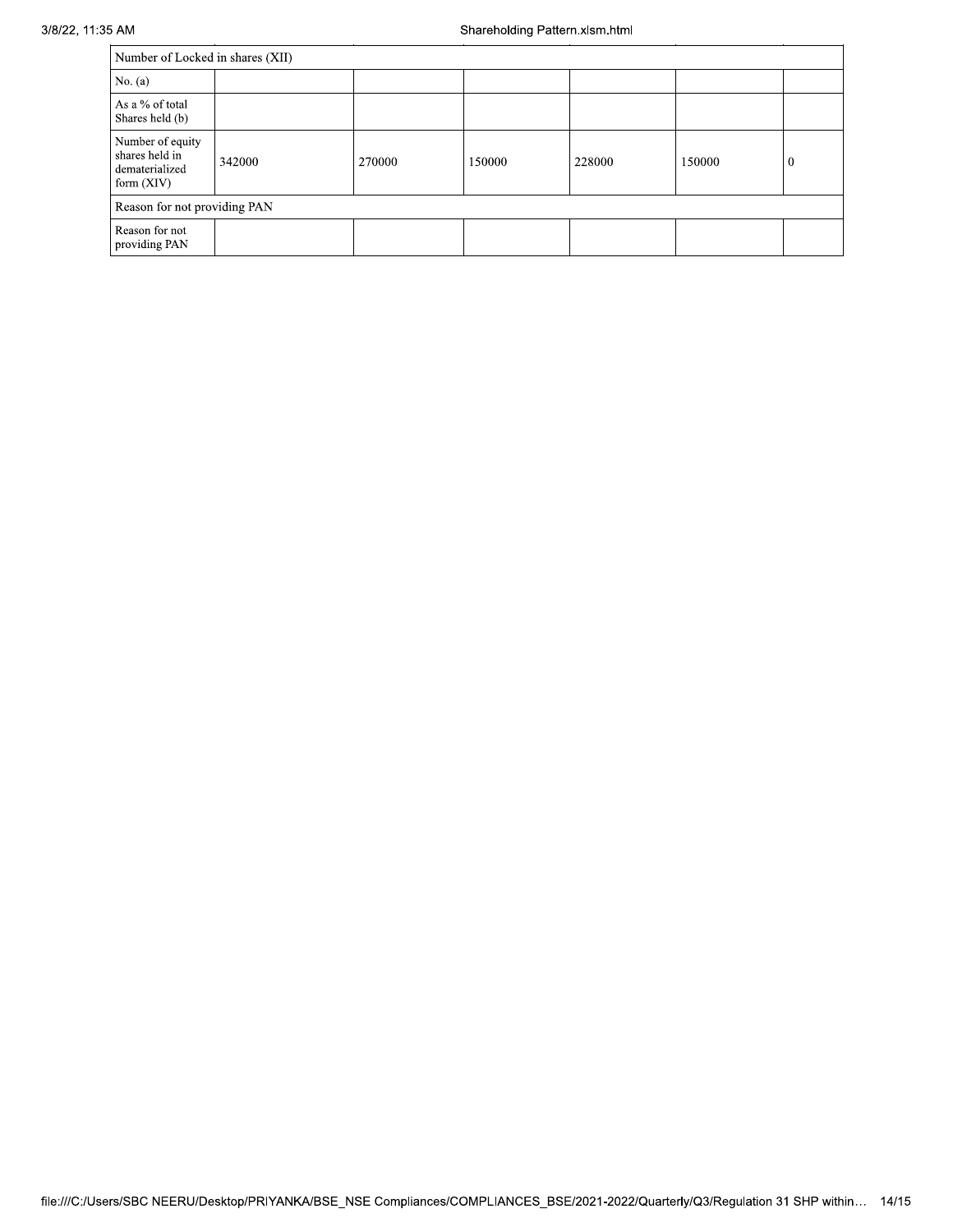| Number of Locked in shares (XII)                                     |        |        |        |        |        |          |  |  |  |  |
|----------------------------------------------------------------------|--------|--------|--------|--------|--------|----------|--|--|--|--|
| No. $(a)$                                                            |        |        |        |        |        |          |  |  |  |  |
| As a % of total<br>Shares held (b)                                   |        |        |        |        |        |          |  |  |  |  |
| Number of equity<br>shares held in<br>dematerialized<br>form $(XIV)$ | 342000 | 270000 | 150000 | 228000 | 150000 | $\bf{0}$ |  |  |  |  |
| Reason for not providing PAN                                         |        |        |        |        |        |          |  |  |  |  |
| Reason for not<br>providing PAN                                      |        |        |        |        |        |          |  |  |  |  |